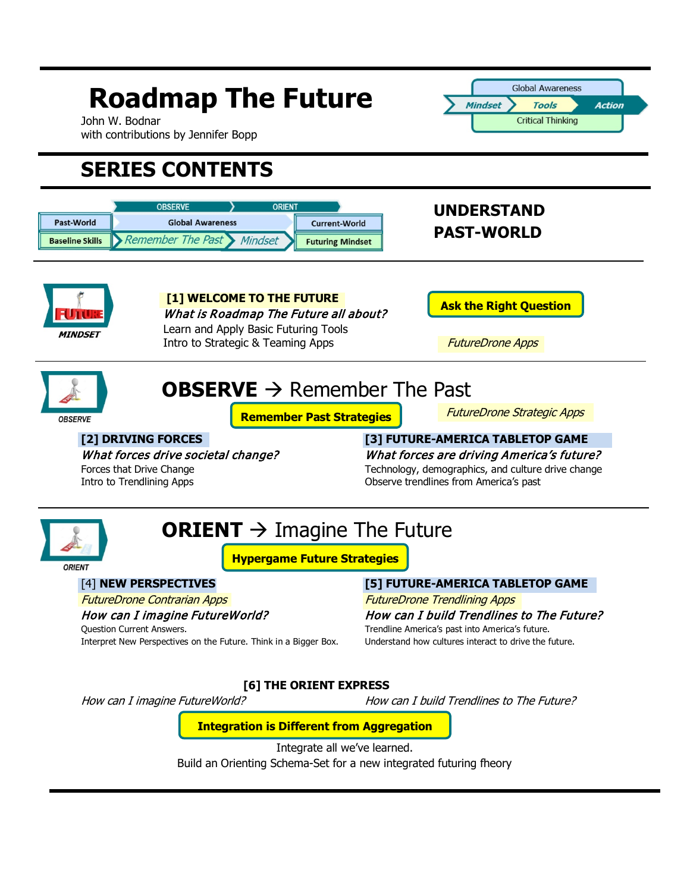### **Global Awareness Roadmap The Future Mindset Action Tools Critical Thinking** John W. Bodnar with contributions by Jennifer Bopp **SERIES CONTENTS ORSERVE** ORIENT **UNDERSTAND**  Past-World **Global Awareness Current-World PAST-WORLD**  Remember The Past Mindset **Baseline Skills Futuring Mindset [1] WELCOME TO THE FUTURE Ask the Right Question** What is Roadmap The Future all about? Learn and Apply Basic Futuring Tools **MINDSET** Intro to Strategic & Teaming Apps FutureDrone Apps **OBSERVE**  $\rightarrow$  Remember The Past FutureDrone Strategic Apps **Remember Past Strategies OBSERVE [2] DRIVING FORCES [3] FUTURE-AMERICA TABLETOP GAME** What forces drive societal change? What forces are driving America's future? Forces that Drive Change Technology, demographics, and culture drive change<br>
Intro to Trendlining Apps **Technology, demographics, and culture drive change**<br>
Observe trendlines from America's past Observe trendlines from America's past **ORIENT**  $\rightarrow$  Imagine The Future **Hypergame Future Strategies** ORIENT [4] **NEW PERSPECTIVES [5] FUTURE-AMERICA TABLETOP GAME** FutureDrone Contrarian Apps The Content of Trendlining Apps FutureDrone Trendlining Apps How can I imagine FutureWorld? How can I build Trendlines to The Future? Question Current Answers. Trendline America's past into America's future. Interpret New Perspectives on the Future. Think in a Bigger Box. Understand how cultures interact to drive the future. **[6] THE ORIENT EXPRESS** How can I imagine FutureWorld? How can I build Trendlines to The Future? **Integration is Different from Aggregation**Integrate all we've learned. Build an Orienting Schema-Set for a new integrated futuring fheory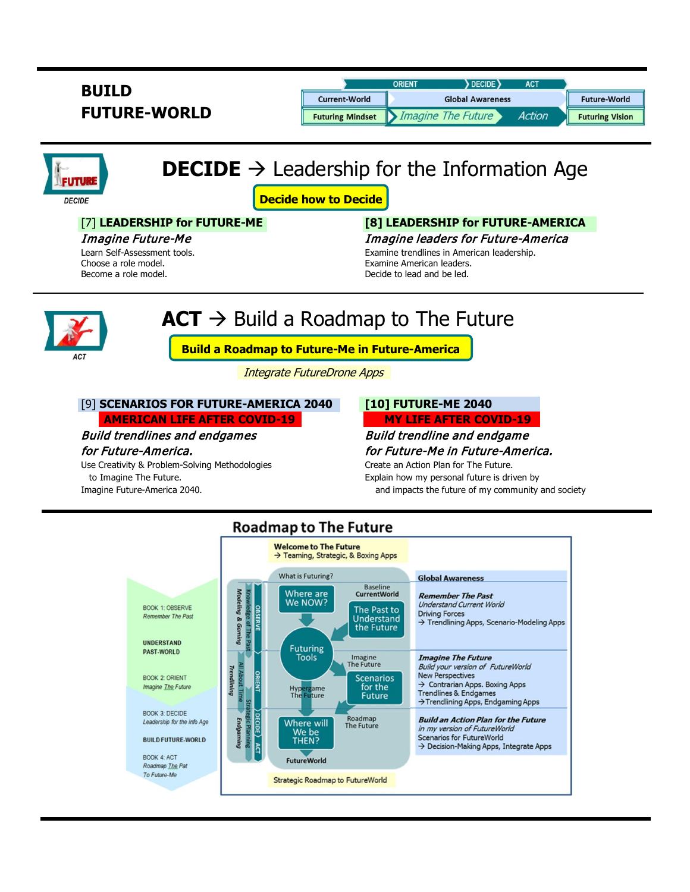| <b>BUILD</b>        |                         | <b>ORIENT</b>           | <b>DECIDE</b> | AC <sub>1</sub> |                        |
|---------------------|-------------------------|-------------------------|---------------|-----------------|------------------------|
|                     | <b>Current-World</b>    | <b>Global Awareness</b> |               |                 | <b>Future-World</b>    |
| <b>FUTURE-WORLD</b> | <b>Futuring Mindset</b> | Imagine The Future      |               | <b>Action</b>   | <b>Futuring Vision</b> |

# **DECIDE**  $\rightarrow$  Leadership for the Information Age

**Decide how to Decide**

Become a role model. The contract of the model of the Decide to lead and be led.

## [7] **LEADERSHIP for FUTURE-ME [8] LEADERSHIP for FUTURE-AMERICA**

Imagine Future-Me Imagine leaders for Future-America Learn Self-Assessment tools. Examine trendlines in American leadership. Choose a role model. **Examine American leaders.** Examine American leaders.

# $ACT \rightarrow$  Build a Roadmap to The Future



**FUTURE DECIDE** 

# **Build a Roadmap to Future-Me in Future-America**

Integrate FutureDrone Apps

### [9] **SCENARIOS FOR FUTURE-AMERICA 2040 [10] FUTURE-ME 2040**

 **AMERICAN LIFE AFTER COVID-19 MY LIFE AFTER COVID-19**

Use Creativity & Problem-Solving Methodologies Create an Action Plan for The Future. to Imagine The Future. The Future is driven by the Explain how my personal future is driven by

Build trendlines and endgames Build trendline and endgame for Future-America. for Future-Me in Future-America.

Imagine Future-America 2040. **And increase a material control of the future of my community and society** and society